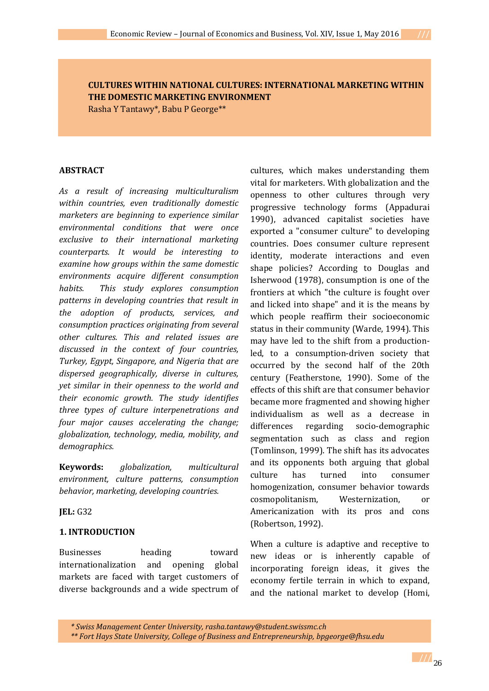**CULTURES WITHIN NATIONAL CULTURES: INTERNATIONAL MARKETING WITHIN THE DOMESTIC MARKETING ENVIRONMENT**

Rasha Y Tantawy\*, Babu P George\*\*

#### **ABSTRACT**

*As a result of increasing multiculturalism within countries, even traditionally domestic marketers are beginning to experience similar environmental conditions that were once exclusive to their international marketing counterparts. It would be interesting to examine how groups within the same domestic environments acquire different consumption habits. This study explores consumption patterns in developing countries that result in the adoption of products, services, and consumption practices originating from several other cultures. This and related issues are discussed in the context of four countries, Turkey, Egypt, Singapore, and Nigeria that are dispersed geographically, diverse in cultures, yet similar in their openness to the world and their economic growth. The study identifies three types of culture interpenetrations and four major causes accelerating the change; globalization, technology, media, mobility, and demographics.* 

**Keywords:** *globalization, multicultural environment, culture patterns, consumption behavior, marketing, developing countries.*

**JEL:** G32

### **1. INTRODUCTION**

Businesses heading toward internationalization and opening global markets are faced with target customers of diverse backgrounds and a wide spectrum of

cultures, which makes understanding them vital for marketers. With globalization and the openness to other cultures through very progressive technology forms (Appadurai 1990), advanced capitalist societies have exported a "consumer culture" to developing countries. Does consumer culture represent identity, moderate interactions and even shape policies? According to Douglas and Isherwood (1978), consumption is one of the frontiers at which "the culture is fought over and licked into shape" and it is the means by which people reaffirm their socioeconomic status in their community (Warde, 1994). This may have led to the shift from a productionled, to a consumption-driven society that occurred by the second half of the 20th century (Featherstone, 1990). Some of the effects of this shift are that consumer behavior became more fragmented and showing higher individualism as well as a decrease in differences regarding socio-demographic segmentation such as class and region (Tomlinson, 1999). The shift has its advocates and its opponents both arguing that global culture has turned into consumer homogenization, consumer behavior towards cosmopolitanism, Westernization, or Americanization with its pros and cons (Robertson, 1992).

When a culture is adaptive and receptive to new ideas or is inherently capable of incorporating foreign ideas, it gives the economy fertile terrain in which to expand, and the national market to develop (Homi,

*\* Swiss Management Center University, rasha.tantawy@student.swissmc.ch \*\* Fort Hays State University, College of Business and Entrepreneurship, [bpgeorge@fhsu.edu](mailto:bpgeorge@fhsu.edu)*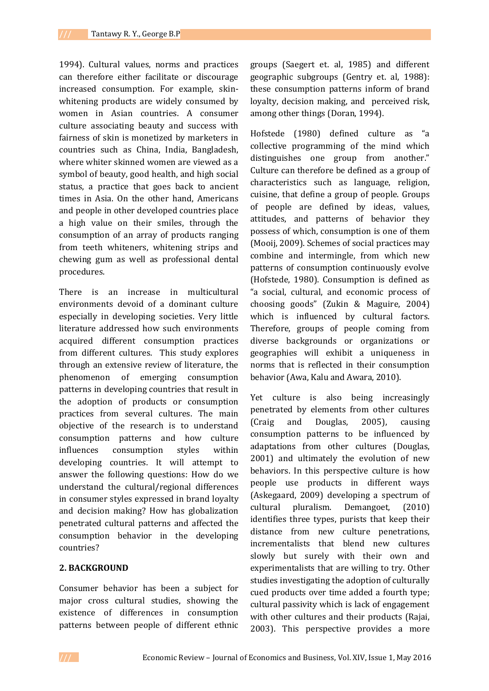1994). Cultural values, norms and practices can therefore either facilitate or discourage increased consumption. For example, skinwhitening products are widely consumed by women in Asian countries. A consumer culture associating beauty and success with fairness of skin is monetized by marketers in countries such as China, India, Bangladesh, where whiter skinned women are viewed as a symbol of beauty, good health, and high social status, a practice that goes back to ancient times in Asia. On the other hand, Americans and people in other developed countries place a high value on their smiles, through the consumption of an array of products ranging from teeth whiteners, whitening strips and chewing gum as well as professional dental procedures.

There is an increase in multicultural environments devoid of a dominant culture especially in developing societies. Very little literature addressed how such environments acquired different consumption practices from different cultures. This study explores through an extensive review of literature, the phenomenon of emerging consumption patterns in developing countries that result in the adoption of products or consumption practices from several cultures. The main objective of the research is to understand consumption patterns and how culture influences consumption styles within developing countries. It will attempt to answer the following questions: How do we understand the cultural/regional differences in consumer styles expressed in brand loyalty and decision making? How has globalization penetrated cultural patterns and affected the consumption behavior in the developing countries?

### **2. BACKGROUND**

Consumer behavior has been a subject for major cross cultural studies, showing the existence of differences in consumption patterns between people of different ethnic groups (Saegert et. al, 1985) and different geographic subgroups (Gentry et. al, 1988): these consumption patterns inform of brand loyalty, decision making, and perceived risk, among other things (Doran, 1994).

Hofstede (1980) defined culture as "a collective programming of the mind which distinguishes one group from another." Culture can therefore be defined as a group of characteristics such as language, religion, cuisine, that define a group of people. Groups of people are defined by ideas, values, attitudes, and patterns of behavior they possess of which, consumption is one of them (Mooij, 2009). Schemes of social practices may combine and intermingle, from which new patterns of consumption continuously evolve (Hofstede, 1980). Consumption is defined as "a social, cultural, and economic process of choosing goods" (Zukin & Maguire, 2004) which is influenced by cultural factors. Therefore, groups of people coming from diverse backgrounds or organizations or geographies will exhibit a uniqueness in norms that is reflected in their consumption behavior (Awa, Kalu and Awara, 2010).

Yet culture is also being increasingly penetrated by elements from other cultures (Craig and Douglas, 2005), causing consumption patterns to be influenced by adaptations from other cultures (Douglas, 2001) and ultimately the evolution of new behaviors. In this perspective culture is how people use products in different ways (Askegaard, 2009) developing a spectrum of cultural pluralism. Demangoet, (2010) identifies three types, purists that keep their distance from new culture penetrations, incrementalists that blend new cultures slowly but surely with their own and experimentalists that are willing to try. Other studies investigating the adoption of culturally cued products over time added a fourth type; cultural passivity which is lack of engagement with other cultures and their products (Rajai, 2003). This perspective provides a more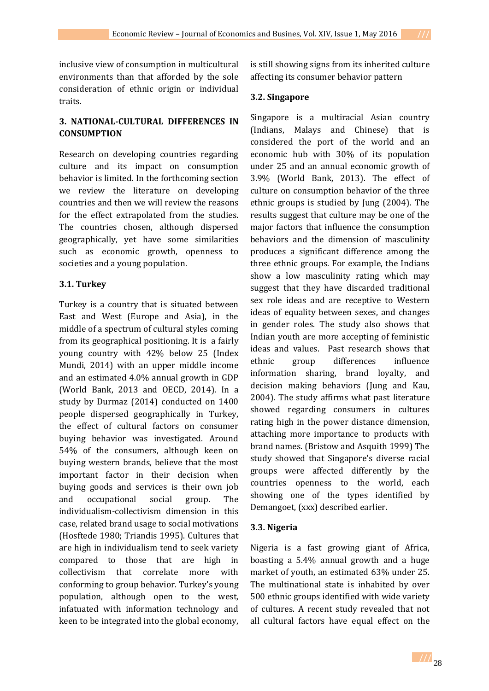inclusive view of consumption in multicultural environments than that afforded by the sole consideration of ethnic origin or individual traits.

# **3. NATIONAL-CULTURAL DIFFERENCES IN CONSUMPTION**

Research on developing countries regarding culture and its impact on consumption behavior is limited. In the forthcoming section we review the literature on developing countries and then we will review the reasons for the effect extrapolated from the studies. The countries chosen, although dispersed geographically, yet have some similarities such as economic growth, openness to societies and a young population.

# **3.1. Turkey**

Turkey is a country that is situated between East and West (Europe and Asia), in the middle of a spectrum of cultural styles coming from its geographical positioning. It is a fairly young country with 42% below 25 (Index Mundi, 2014) with an upper middle income and an estimated 4.0% annual growth in GDP (World Bank, 2013 and OECD, 2014). In a study by Durmaz (2014) conducted on 1400 people dispersed geographically in Turkey, the effect of cultural factors on consumer buying behavior was investigated. Around 54% of the consumers, although keen on buying western brands, believe that the most important factor in their decision when buying goods and services is their own job and occupational social group. The individualism-collectivism dimension in this case, related brand usage to social motivations (Hosftede 1980; Triandis 1995). Cultures that are high in individualism tend to seek variety compared to those that are high in collectivism that correlate more with conforming to group behavior. Turkey's young population, although open to the west, infatuated with information technology and keen to be integrated into the global economy,

is still showing signs from its inherited culture affecting its consumer behavior pattern

## **3.2. Singapore**

Singapore is a multiracial Asian country (Indians, Malays and Chinese) that is considered the port of the world and an economic hub with 30% of its population under 25 and an annual economic growth of 3.9% (World Bank, 2013). The effect of culture on consumption behavior of the three ethnic groups is studied by Jung (2004). The results suggest that culture may be one of the major factors that influence the consumption behaviors and the dimension of masculinity produces a significant difference among the three ethnic groups. For example, the Indians show a low masculinity rating which may suggest that they have discarded traditional sex role ideas and are receptive to Western ideas of equality between sexes, and changes in gender roles. The study also shows that Indian youth are more accepting of feministic ideas and values. Past research shows that ethnic group differences influence information sharing, brand loyalty, and decision making behaviors (Jung and Kau, 2004). The study affirms what past literature showed regarding consumers in cultures rating high in the power distance dimension, attaching more importance to products with brand names. (Bristow and Asquith 1999) The study showed that Singapore's diverse racial groups were affected differently by the countries openness to the world, each showing one of the types identified by Demangoet, (xxx) described earlier.

## **3.3. Nigeria**

Nigeria is a fast growing giant of Africa, boasting a 5.4% annual growth and a huge market of youth, an estimated 63% under 25. The multinational state is inhabited by over 500 ethnic groups identified with wide variety of cultures. A recent study revealed that not all cultural factors have equal effect on the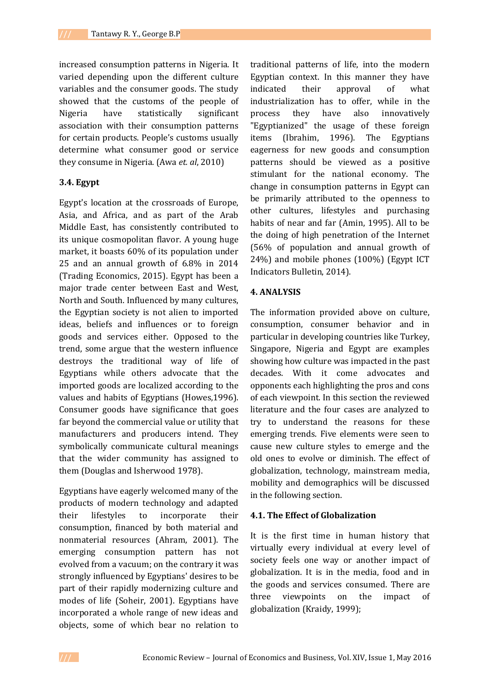increased consumption patterns in Nigeria. It varied depending upon the different culture variables and the consumer goods. The study showed that the customs of the people of Nigeria have statistically significant association with their consumption patterns for certain products. People's customs usually determine what consumer good or service they consume in Nigeria. (Awa *et. al*, 2010)

#### **3.4. Egypt**

Egypt's location at the crossroads of Europe, Asia, and Africa, and as part of the Arab Middle East, has consistently contributed to its unique cosmopolitan flavor. A young huge market, it boasts 60% of its population under 25 and an annual growth of 6.8% in 2014 (Trading Economics, 2015). Egypt has been a major trade center between East and West, North and South. Influenced by many cultures, the Egyptian society is not alien to imported ideas, beliefs and influences or to foreign goods and services either. Opposed to the trend, some argue that the western influence destroys the traditional way of life of Egyptians while others advocate that the imported goods are localized according to the values and habits of Egyptians (Howes,1996). Consumer goods have significance that goes far beyond the commercial value or utility that manufacturers and producers intend. They symbolically communicate cultural meanings that the wider community has assigned to them (Douglas and Isherwood 1978).

Egyptians have eagerly welcomed many of the products of modern technology and adapted their lifestyles to incorporate their consumption, financed by both material and nonmaterial resources (Ahram, 2001). The emerging consumption pattern has not evolved from a vacuum; on the contrary it was strongly influenced by Egyptians' desires to be part of their rapidly modernizing culture and modes of life (Soheir, 2001). Egyptians have incorporated a whole range of new ideas and objects, some of which bear no relation to

traditional patterns of life, into the modern Egyptian context. In this manner they have indicated their approval of what industrialization has to offer, while in the process they have also innovatively "Egyptianized" the usage of these foreign items (Ibrahim, 1996). The Egyptians eagerness for new goods and consumption patterns should be viewed as a positive stimulant for the national economy. The change in consumption patterns in Egypt can be primarily attributed to the openness to other cultures, lifestyles and purchasing habits of near and far (Amin, 1995). All to be the doing of high penetration of the Internet (56% of population and annual growth of 24%) and mobile phones (100%) (Egypt ICT Indicators Bulletin, 2014).

### **4. ANALYSIS**

The information provided above on culture, consumption, consumer behavior and in particular in developing countries like Turkey, Singapore, Nigeria and Egypt are examples showing how culture was impacted in the past decades. With it come advocates and opponents each highlighting the pros and cons of each viewpoint. In this section the reviewed literature and the four cases are analyzed to try to understand the reasons for these emerging trends. Five elements were seen to cause new culture styles to emerge and the old ones to evolve or diminish. The effect of globalization, technology, mainstream media, mobility and demographics will be discussed in the following section.

#### **4.1. The Effect of Globalization**

It is the first time in human history that virtually every individual at every level of society feels one way or another impact of globalization. It is in the media, food and in the goods and services consumed. There are three viewpoints on the impact of globalization (Kraidy, 1999);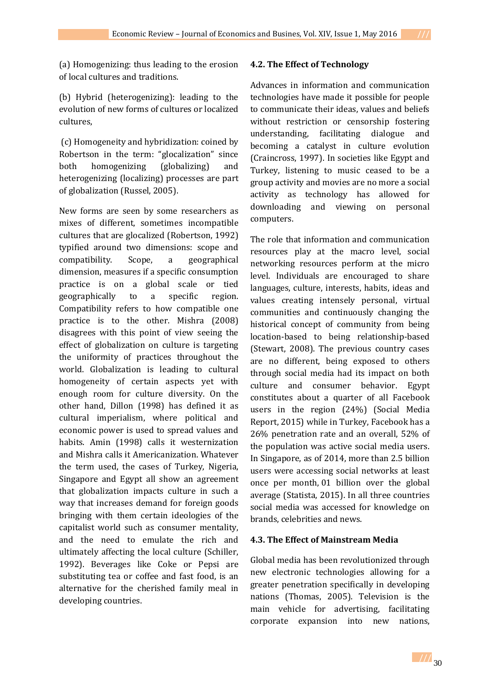(a) Homogenizing: thus leading to the erosion of local cultures and traditions.

(b) Hybrid (heterogenizing): leading to the evolution of new forms of cultures or localized cultures,

(c) Homogeneity and hybridization: coined by Robertson in the term: "glocalization" since both homogenizing (globalizing) and heterogenizing (localizing) processes are part of globalization (Russel, 2005).

New forms are seen by some researchers as mixes of different, sometimes incompatible cultures that are glocalized (Robertson, 1992) typified around two dimensions: scope and compatibility. Scope, a geographical dimension, measures if a specific consumption practice is on a global scale or tied geographically to a specific region. Compatibility refers to how compatible one practice is to the other. Mishra (2008) disagrees with this point of view seeing the effect of globalization on culture is targeting the uniformity of practices throughout the world. Globalization is leading to cultural homogeneity of certain aspects yet with enough room for culture diversity. On the other hand, Dillon (1998) has defined it as cultural imperialism, where political and economic power is used to spread values and habits. Amin (1998) calls it westernization and Mishra calls it Americanization. Whatever the term used, the cases of Turkey, Nigeria, Singapore and Egypt all show an agreement that globalization impacts culture in such a way that increases demand for foreign goods bringing with them certain ideologies of the capitalist world such as consumer mentality, and the need to emulate the rich and ultimately affecting the local culture (Schiller, 1992). Beverages like Coke or Pepsi are substituting tea or coffee and fast food, is an alternative for the cherished family meal in developing countries.

## **4.2. The Effect of Technology**

Advances in information and communication technologies have made it possible for people to communicate their ideas, values and beliefs without restriction or censorship fostering understanding, facilitating dialogue and becoming a catalyst in culture evolution (Craincross, 1997). In societies like Egypt and Turkey, listening to music ceased to be a group activity and movies are no more a social activity as technology has allowed for downloading and viewing on personal computers.

The role that information and communication resources play at the macro level, social networking resources perform at the micro level. Individuals are encouraged to share languages, culture, interests, habits, ideas and values creating intensely personal, virtual communities and continuously changing the historical concept of community from being location-based to being relationship-based (Stewart, 2008). The previous country cases are no different, being exposed to others through social media had its impact on both culture and consumer behavior. Egypt constitutes about a quarter of all Facebook users in the region (24%) (Social Media Report, 2015) while in Turkey, Facebook has a 26% penetration rate and an overall, 52% of the population was active social media users. In Singapore, as of 2014, more than 2.5 billion users were accessing social networks at least once per month, 01 billion over the global average (Statista, 2015). In all three countries social media was accessed for knowledge on brands, celebrities and news.

### **4.3. The Effect of Mainstream Media**

Global media has been revolutionized through new electronic technologies allowing for a greater penetration specifically in developing nations (Thomas, 2005). Television is the main vehicle for advertising, facilitating corporate expansion into new nations,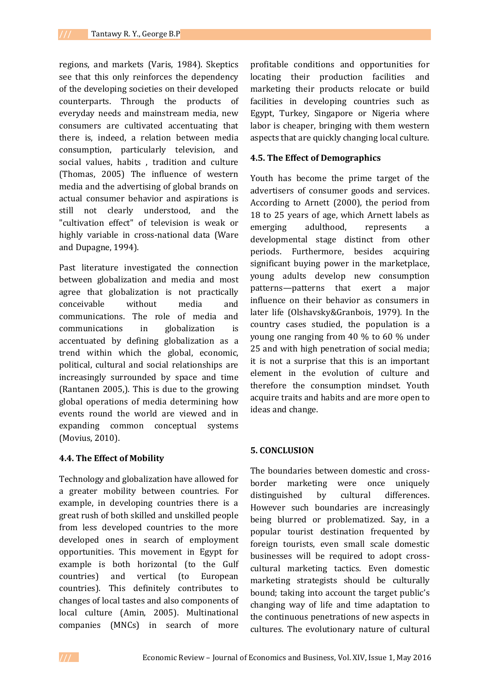regions, and markets (Varis, 1984). Skeptics see that this only reinforces the dependency of the developing societies on their developed counterparts. Through the products of everyday needs and mainstream media, new consumers are cultivated accentuating that there is, indeed, a relation between media consumption, particularly television, and social values, habits , tradition and culture (Thomas, 2005) The influence of western media and the advertising of global brands on actual consumer behavior and aspirations is still not clearly understood, and the "cultivation effect" of television is weak or highly variable in cross-national data (Ware and Dupagne, 1994).

Past literature investigated the connection between globalization and media and most agree that globalization is not practically conceivable without media and communications. The role of media and communications in globalization is accentuated by defining globalization as a trend within which the global, economic, political, cultural and social relationships are increasingly surrounded by space and time (Rantanen 2005,). This is due to the growing global operations of media determining how events round the world are viewed and in expanding common conceptual systems (Movius, 2010).

### **4.4. The Effect of Mobility**

Technology and globalization have allowed for a greater mobility between countries. For example, in developing countries there is a great rush of both skilled and unskilled people from less developed countries to the more developed ones in search of employment opportunities. This movement in Egypt for example is both horizontal (to the Gulf countries) and vertical (to European countries). This definitely contributes to changes of local tastes and also components of local culture (Amin, 2005). Multinational companies (MNCs) in search of more

profitable conditions and opportunities for locating their production facilities and marketing their products relocate or build facilities in developing countries such as Egypt, Turkey, Singapore or Nigeria where labor is cheaper, bringing with them western aspects that are quickly changing local culture.

### **4.5. The Effect of Demographics**

Youth has become the prime target of the advertisers of consumer goods and services. According to Arnett (2000), the period from 18 to 25 years of age, which Arnett labels as emerging adulthood, represents a developmental stage distinct from other periods. Furthermore, besides acquiring significant buying power in the marketplace, young adults develop new consumption patterns—patterns that exert a major influence on their behavior as consumers in later life (Olshavsky&Granbois, 1979). In the country cases studied, the population is a young one ranging from 40 % to 60 % under 25 and with high penetration of social media; it is not a surprise that this is an important element in the evolution of culture and therefore the consumption mindset. Youth acquire traits and habits and are more open to ideas and change.

### **5. CONCLUSION**

The boundaries between domestic and crossborder marketing were once uniquely distinguished by cultural differences. However such boundaries are increasingly being blurred or problematized. Say, in a popular tourist destination frequented by foreign tourists, even small scale domestic businesses will be required to adopt crosscultural marketing tactics. Even domestic marketing strategists should be culturally bound; taking into account the target public's changing way of life and time adaptation to the continuous penetrations of new aspects in cultures. The evolutionary nature of cultural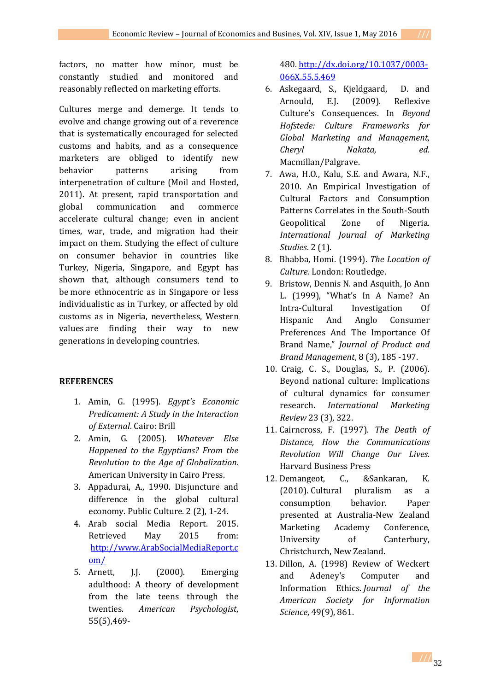factors, no matter how minor, must be constantly studied and monitored and reasonably reflected on marketing efforts.

Cultures merge and demerge. It tends to evolve and change growing out of a reverence that is systematically encouraged for selected customs and habits, and as a consequence marketers are obliged to identify new behavior patterns arising from interpenetration of culture (Moil and Hosted, 2011). At present, rapid transportation and global communication and commerce accelerate cultural change; even in ancient times, war, trade, and migration had their impact on them. Studying the effect of culture on consumer behavior in countries like Turkey, Nigeria, Singapore, and Egypt has shown that, although consumers tend to be more ethnocentric as in Singapore or less individualistic as in Turkey, or affected by old customs as in Nigeria, nevertheless, Western values are finding their way to new generations in developing countries.

# **REFERENCES**

- 1. Amin, G. (1995). *Egypt's Economic Predicament: A Study in the Interaction of External*. Cairo: Brill
- 2. Amin, G. (2005). *Whatever Else Happened to the Egyptians? From the Revolution to the Age of Globalization.* American University in Cairo Press.
- 3. Appadurai, A., 1990. Disjuncture and difference in the global cultural economy. Public Culture. 2 (2), 1-24.
- 4. Arab social Media Report. 2015. Retrieved May 2015 from: [http://www.ArabSocialMediaReport.c](http://www.arabsocialmediareport.com/) [om/](http://www.arabsocialmediareport.com/)
- 5. Arnett, J.J. (2000). Emerging adulthood: A theory of development from the late teens through the twenties. *American Psychologist*, 55(5),469-

480. [http://dx.doi.org/10.1037/0003-](http://psycnet.apa.org/doi/10.1037/0003-066X.55.5.469) [066X.55.5.469](http://psycnet.apa.org/doi/10.1037/0003-066X.55.5.469)

- 6. Askegaard, S., Kjeldgaard, D. and Arnould, E.J. (2009). Reflexive Culture's Consequences. In *Beyond Hofstede: Culture Frameworks for Global Marketing and Management, Cheryl Nakata, ed.*  Macmillan/Palgrave.
- 7. Awa, H.O., Kalu, S.E. and Awara, N.F., 2010. An Empirical Investigation of Cultural Factors and Consumption Patterns Correlates in the South-South Geopolitical Zone of Nigeria. *International Journal of Marketing Studies*. 2 (1).
- 8. Bhabba, Homi. (1994). *The Location of Culture.* London: Routledge.
- 9. Bristow, Dennis N. and Asquith, Jo Ann L. (1999), "What's In A Name? An Intra-Cultural Investigation Of Hispanic And Anglo Consumer Preferences And The Importance Of Brand Name," *Journal of Product and Brand Management*, 8 (3), 185 -197.
- 10. Craig, C. S., Douglas, S., P. (2006). Beyond national culture: Implications of cultural dynamics for consumer research. *International Marketing Review* 23 (3), 322.
- 11. Cairncross, F. (1997). *The Death of Distance, How the Communications Revolution Will Change Our Lives.* Harvard Business Press
- 12. Demangeot, C., &Sankaran, K. (2010). Cultural pluralism as a consumption behavior. Paper presented at Australia-New Zealand Marketing Academy Conference, University of Canterbury, Christchurch, New Zealand.
- 13. Dillon, A. (1998) Review of Weckert and Adeney's Computer and Information Ethics. *Journal of the American Society for Information Science*, 49(9), 861.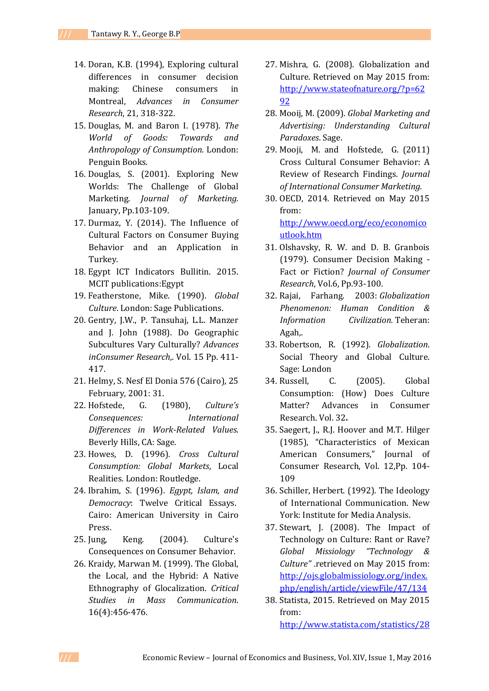- 14. Doran, K.B. (1994), Exploring cultural differences in consumer decision making: Chinese consumers in Montreal, *Advances in Consumer Research*, 21, 318-322.
- 15. Douglas, M. and Baron I. (1978). *The World of Goods: Towards and Anthropology of Consumption.* London: Penguin Books.
- 16. Douglas, S. (2001). Exploring New Worlds: The Challenge of Global Marketing. *Journal of Marketing.*  January, Pp.103-109.
- 17. Durmaz, Y. (2014). The Influence of Cultural Factors on Consumer Buying Behavior and an Application in Turkey.
- 18. Egypt ICT Indicators Bullitin. 2015. MCIT publications:Egypt
- 19. Featherstone, Mike. (1990). *Global Culture*. London: Sage Publications.
- 20. Gentry, J.W., P. Tansuhaj, L.L. Manzer and J. John (1988). Do Geographic Subcultures Vary Culturally? *Advances inConsumer Research*,. Vol. 15 Pp. 411- 417.
- 21. Helmy, S. Nesf El Donia 576 (Cairo), 25 February, 2001: 31.
- 22. Hofstede, G. (1980), *Culture's Consequences: International Differences in Work-Related Values*. Beverly Hills, CA: Sage.
- 23. Howes, D. (1996). *Cross Cultural Consumption: Global Markets*, Local Realities. London: Routledge.
- 24. Ibrahim, S. (1996). *Egypt, Islam, and Democracy*: Twelve Critical Essays. Cairo: American University in Cairo Press.
- 25. Jung, Keng. (2004). Culture's Consequences on Consumer Behavior.
- 26. Kraidy, Marwan M. (1999). The Global, the Local, and the Hybrid: A Native Ethnography of Glocalization. *Critical Studies in Mass Communication*. 16(4):456-476.
- 27. Mishra, G. (2008). Globalization and Culture. Retrieved on May 2015 from: [http://www.stateofnature.org/?p=62](http://www.stateofnature.org/?p=6292) [92](http://www.stateofnature.org/?p=6292)
- 28. Mooij, M. (2009). *Global Marketing and Advertising: Understanding Cultural Paradoxes*. Sage.
- 29. Mooji, M. and Hofstede*,* G. (2011) Cross Cultural Consumer Behavior: A Review of Research Findings*. Journal of International Consumer Marketing.*
- 30. OECD, 2014. Retrieved on May 2015 from: [http://www.oecd.org/eco/economico](http://www.oecd.org/eco/economicoutlook.htm) [utlook.htm](http://www.oecd.org/eco/economicoutlook.htm)
- 31. Olshavsky, R. W. and D. B. Granbois (1979). Consumer Decision Making - Fact or Fiction? *Journal of Consumer Research*, Vol.6, Pp.93-100.
- 32. Rajai, Farhang. 2003: *Globalization Phenomenon: Human Condition & Information Civilization.* Teheran: Agah,.
- 33. Robertson, R. (1992). *Globalization*. Social Theory and Global Culture. Sage: London
- 34. Russell, C. (2005). Global Consumption: (How) Does Culture Matter? Advances in Consumer Research. Vol. 32**.**
- 35. Saegert, J., R.J. Hoover and M.T. Hilger (1985), "Characteristics of Mexican American Consumers," Journal of Consumer Research, Vol. 12,Pp. 104- 109
- 36. Schiller, Herbert. (1992). The Ideology of International Communication. New York: Institute for Media Analysis.
- 37. Stewart, J. (2008). The Impact of Technology on Culture: Rant or Rave? *Global Missiology "Technology & Culture"* .retrieved on May 2015 from: [http://ojs.globalmissiology.org/index.](http://ojs.globalmissiology.org/index.php/english/article/viewFile/47/134) [php/english/article/viewFile/47/134](http://ojs.globalmissiology.org/index.php/english/article/viewFile/47/134)
- 38. Statista, 2015. Retrieved on May 2015 from: [http://www.statista.com/statistics/28](http://www.statista.com/statistics/284503/turkey-social-network-penetration/)